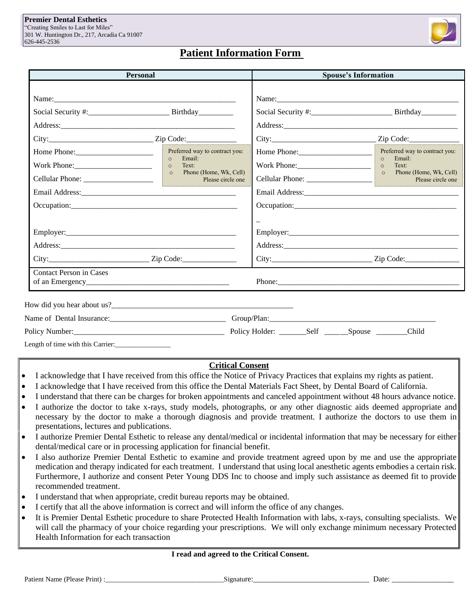

## **Patient Information Form**

|                                                                                                                                               | <b>Personal</b>                                                                                                                                                                                                                            |                       | <b>Spouse's Information</b>                                                                                              |  |
|-----------------------------------------------------------------------------------------------------------------------------------------------|--------------------------------------------------------------------------------------------------------------------------------------------------------------------------------------------------------------------------------------------|-----------------------|--------------------------------------------------------------------------------------------------------------------------|--|
|                                                                                                                                               |                                                                                                                                                                                                                                            |                       |                                                                                                                          |  |
|                                                                                                                                               |                                                                                                                                                                                                                                            |                       |                                                                                                                          |  |
|                                                                                                                                               |                                                                                                                                                                                                                                            |                       |                                                                                                                          |  |
| Home Phone: 2000 March 2010<br>Work Phone: 2008 2010 2021 2022 2023 2024 2022 2022 2023 2024 2022 2023 2024 2022 2023 2024 2025 2026 2027 202 | Preferred way to contract you:<br>$\circ$<br>Email:<br>Text:<br>and the state of the state of the state of the state of the state of the state of the state of the state of th<br>$\circ$<br>o Phone (Home, Wk, Cell)<br>Please circle one |                       | Preferred way to contract you:<br>Email:<br>$\circ$<br>Text:<br>$\circ$<br>o Phone (Home, Wk, Cell)<br>Please circle one |  |
|                                                                                                                                               |                                                                                                                                                                                                                                            | <u> 1999 - Jan Ja</u> |                                                                                                                          |  |
|                                                                                                                                               |                                                                                                                                                                                                                                            |                       | Address: 2008 and 2008 and 2008 and 2008 and 2008 and 2008 and 2008 and 2008 and 2008 and 2008 and 2008 and 20           |  |
|                                                                                                                                               |                                                                                                                                                                                                                                            |                       |                                                                                                                          |  |
| Contact Person in Cases                                                                                                                       |                                                                                                                                                                                                                                            |                       |                                                                                                                          |  |
|                                                                                                                                               |                                                                                                                                                                                                                                            |                       |                                                                                                                          |  |
|                                                                                                                                               |                                                                                                                                                                                                                                            |                       |                                                                                                                          |  |
|                                                                                                                                               |                                                                                                                                                                                                                                            |                       | Child                                                                                                                    |  |

## **Critical Consent**

- I acknowledge that I have received from this office the Notice of Privacy Practices that explains my rights as patient.
- I acknowledge that I have received from this office the Dental Materials Fact Sheet, by Dental Board of California.
- I understand that there can be charges for broken appointments and canceled appointment without 48 hours advance notice.
- I authorize the doctor to take x-rays, study models, photographs, or any other diagnostic aids deemed appropriate and necessary by the doctor to make a thorough diagnosis and provide treatment. I authorize the doctors to use them in presentations, lectures and publications.
- I authorize Premier Dental Esthetic to release any dental/medical or incidental information that may be necessary for either dental/medical care or in processing application for financial benefit.
- I also authorize Premier Dental Esthetic to examine and provide treatment agreed upon by me and use the appropriate medication and therapy indicated for each treatment. I understand that using local anesthetic agents embodies a certain risk. Furthermore, I authorize and consent Peter Young DDS Inc to choose and imply such assistance as deemed fit to provide recommended treatment.
- I understand that when appropriate, credit bureau reports may be obtained.
- I certify that all the above information is correct and will inform the office of any changes.
- It is Premier Dental Esthetic procedure to share Protected Health Information with labs, x-rays, consulting specialists. We will call the pharmacy of your choice regarding your prescriptions. We will only exchange minimum necessary Protected Health Information for each transaction

### **I read and agreed to the Critical Consent.**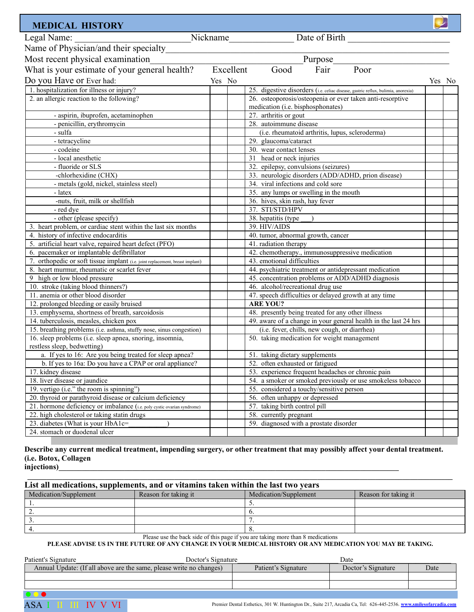| <b>MEDICAL HISTORY</b>                                                                  |                                                                                                |        |
|-----------------------------------------------------------------------------------------|------------------------------------------------------------------------------------------------|--------|
| Legal Name:                                                                             | Nickname<br>Date of Birth                                                                      |        |
| Name of Physician/and their specialty                                                   |                                                                                                |        |
| Most recent physical examination                                                        | Purpose                                                                                        |        |
|                                                                                         | Excellent<br>Fair<br>Poor<br>Good                                                              |        |
| What is your estimate of your general health?                                           |                                                                                                |        |
| Do you Have or Ever had:                                                                | Yes No                                                                                         | Yes No |
| 1. hospitalization for illness or injury?                                               | 25. digestive disorders (i.e. celiac disease, gastric reflux, bulimia, anorexia)               |        |
| 2. an allergic reaction to the following?                                               | 26. osteoporosis/osteopenia or ever taken anti-resorptive<br>medication (i.e. bisphosphonates) |        |
| - aspirin, ibuprofen, acetaminophen                                                     | 27. arthritis or gout                                                                          |        |
| - penicillin, erythromycin                                                              | 28. autoimmune disease                                                                         |        |
| - sulfa                                                                                 | (i.e. rheumatoid arthritis, lupus, scleroderma)                                                |        |
| - tetracycline                                                                          | 29. glaucoma/cataract                                                                          |        |
| - codeine                                                                               | 30. wear contact lenses                                                                        |        |
| - local anesthetic                                                                      | 31 head or neck injuries                                                                       |        |
| - fluoride or SLS                                                                       | 32. epilepsy, convulsions (seizures)                                                           |        |
| -chlorhexidine (CHX)                                                                    | 33. neurologic disorders (ADD/ADHD, prion disease)                                             |        |
| - metals (gold, nickel, stainless steel)                                                | 34. viral infections and cold sore                                                             |        |
| - latex                                                                                 | 35. any lumps or swelling in the mouth                                                         |        |
| -nuts, fruit, milk or shellfish                                                         | 36. hives, skin rash, hay fever                                                                |        |
| - red dve                                                                               | 37. STI/STD/HPV                                                                                |        |
| - other (please specify)                                                                | 38. hepatitis (type                                                                            |        |
| 3. heart problem, or cardiac stent within the last six months                           | 39. HIV/AIDS                                                                                   |        |
| 4. history of infective endocarditis                                                    | 40. tumor, abnormal growth, cancer                                                             |        |
| 5. artificial heart valve, repaired heart defect (PFO)                                  | 41. radiation therapy                                                                          |        |
| 6. pacemaker or implantable defibrillator                                               | 42. chemotherapy., immunosuppressive medication                                                |        |
| 7. orthopedic or soft tissue implant (i.e. joint replacement, breast implant)           | 43. emotional difficulties                                                                     |        |
| 8. heart murmur, rheumatic or scarlet fever                                             | 44. psychiatric treatment or antidepressant medication                                         |        |
| 9 high or low blood pressure                                                            | 45. concentration problems or ADD/ADHD diagnosis                                               |        |
| 10. stroke (taking blood thinners?)                                                     | 46. alcohol/recreational drug use                                                              |        |
| 11. anemia or other blood disorder                                                      | 47. speech difficulties or delayed growth at any time                                          |        |
| 12. prolonged bleeding or easily bruised                                                | <b>ARE YOU?</b>                                                                                |        |
| 13. emphysema, shortness of breath, sarcoidosis                                         | 48. presently being treated for any other illness                                              |        |
| 14. tuberculosis, measles, chicken pox                                                  | 49. aware of a change in your general health in the last 24 hrs                                |        |
| 15. breathing problems (i.e. asthma, stuffy nose, sinus congestion)                     | (i.e. fever, chills, new cough, or diarrhea)                                                   |        |
| 16. sleep problems (i.e. sleep apnea, snoring, insomnia,<br>restless sleep, bedwetting) | 50. taking medication for weight management                                                    |        |
| a. If yes to 16: Are you being treated for sleep apnea?                                 | 51. taking dietary supplements                                                                 |        |
| b. If yes to 16a: Do you have a CPAP or oral appliance?                                 | 52. often exhausted or fatigued                                                                |        |
| 17. kidney disease                                                                      | 53. experience frequent headaches or chronic pain                                              |        |
| 18. liver disease or jaundice                                                           | 54. a smoker or smoked previously or use smokeless tobacco                                     |        |
| 19. vertigo (i.e." the room is spinning")                                               | 55. considered a touchy/sensitive person                                                       |        |
| 20. thyroid or parathyroid disease or calcium deficiency                                | 56. often unhappy or depressed                                                                 |        |
| 21. hormone deficiency or imbalance (i.e. poly cystic ovarian syndrome)                 | 57. taking birth control pill                                                                  |        |
| 22. high cholesterol or taking statin drugs                                             | 58. currently pregnant                                                                         |        |
| 23. diabetes (What is your HbA1c=                                                       | 59. diagnosed with a prostate disorder                                                         |        |
| 24. stomach or duodenal ulcer                                                           |                                                                                                |        |

## **Describe any current medical treatment, impending surgery, or other treatment that may possibly affect your dental treatment. (i.e. Botox, Collagen**

**injections)\_\_\_\_\_\_\_\_\_\_\_\_\_\_\_\_\_\_\_\_\_\_\_\_\_\_\_\_\_\_\_\_\_\_\_\_\_\_\_\_\_\_\_\_\_\_\_\_\_\_\_\_\_\_\_\_\_\_\_\_\_\_\_\_\_\_\_\_\_\_\_\_\_\_\_\_\_\_\_\_\_\_\_\_\_\_\_\_**

| List all medications, supplements, and or vitamins taken within the last two years |                      |                                                                                 |                      |
|------------------------------------------------------------------------------------|----------------------|---------------------------------------------------------------------------------|----------------------|
| Medication/Supplement                                                              | Reason for taking it | Medication/Supplement                                                           | Reason for taking it |
|                                                                                    |                      |                                                                                 |                      |
|                                                                                    |                      |                                                                                 |                      |
|                                                                                    |                      |                                                                                 |                      |
|                                                                                    |                      |                                                                                 |                      |
|                                                                                    |                      | Please use the back side of this page if you are taking more than 8 medications |                      |

#### **PLEASE ADVISE US IN THE FUTURE OF ANY CHANGE IN YOUR MEDICAL HISTORY OR ANY MEDICATION YOU MAY BE TAKING.**

| Patient's Signature                                                 | Doctor's Signature |                     | Date               |      |
|---------------------------------------------------------------------|--------------------|---------------------|--------------------|------|
| Annual Update: (If all above are the same, please write no changes) |                    | Patient's Signature | Doctor's Signature | Date |
|                                                                     |                    |                     |                    |      |
|                                                                     |                    |                     |                    |      |
| $\bullet$ $\bullet$                                                 |                    |                     |                    |      |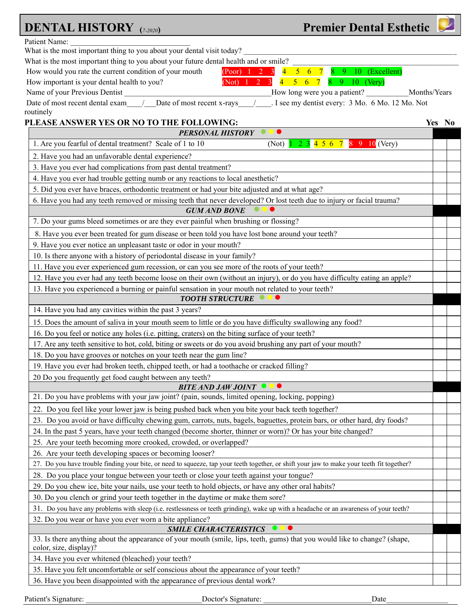| <b>Premier Dental Esthetic</b><br><b>DENTAL HISTORY</b> (7-2020)                                                                                     |        |
|------------------------------------------------------------------------------------------------------------------------------------------------------|--------|
| Patient Name:                                                                                                                                        |        |
| What is the most important thing to you about your dental visit today?                                                                               |        |
| What is the most important thing to you about your future dental health and or smile?                                                                |        |
| How would you rate the current condition of your mouth<br>8 9 10 (Excellent)<br>( Poor) 1 2 3<br>$\overline{\mathbf{4}}$<br>$5\quad 6\quad 7$        |        |
| (Not) $1 \t2 \t3$<br>$\overline{4}$<br>9 10 (Very)<br>How important is your dental health to you?<br>$5\quad 6$<br>7<br>8.                           |        |
| Name of your Previous Dentist<br>How long were you a patient?<br>Months/Years                                                                        |        |
| . I see my dentist every: 3 Mo. 6 Mo. 12 Mo. Not<br>Date of most recent x-rays<br>Date of most recent dental exam<br>routinely                       |        |
| PLEASE ANSWER YES OR NO TO THE FOLLOWING:                                                                                                            | Yes No |
| <b>PERSONAL HISTORY</b>                                                                                                                              |        |
| 1. Are you fearful of dental treatment? Scale of 1 to 10<br>$2$ 3 4 5 6 7 8 9 10 (Very)<br>(Not)                                                     |        |
| 2. Have you had an unfavorable dental experience?                                                                                                    |        |
| 3. Have you ever had complications from past dental treatment?                                                                                       |        |
| 4. Have you ever had trouble getting numb or any reactions to local anesthetic?                                                                      |        |
| 5. Did you ever have braces, orthodontic treatment or had your bite adjusted and at what age?                                                        |        |
| 6. Have you had any teeth removed or missing teeth that never developed? Or lost teeth due to injury or facial trauma?                               |        |
| <b>GUM AND BONE</b>                                                                                                                                  |        |
| 7. Do your gums bleed sometimes or are they ever painful when brushing or flossing?                                                                  |        |
| 8. Have you ever been treated for gum disease or been told you have lost bone around your teeth?                                                     |        |
| 9. Have you ever notice an unpleasant taste or odor in your mouth?                                                                                   |        |
| 10. Is there anyone with a history of periodontal disease in your family?                                                                            |        |
| 11. Have you ever experienced gum recession, or can you see more of the roots of your teeth?                                                         |        |
| 12. Have you ever had any teeth become loose on their own (without an injury), or do you have difficulty eating an apple?                            |        |
| 13. Have you experienced a burning or painful sensation in your mouth not related to your teeth?                                                     |        |
| <b>TOOTH STRUCTURE</b>                                                                                                                               |        |
| 14. Have you had any cavities within the past 3 years?                                                                                               |        |
| 15. Does the amount of saliva in your mouth seem to little or do you have difficulty swallowing any food?                                            |        |
| 16. Do you feel or notice any holes (i.e. pitting, craters) on the biting surface of your teeth?                                                     |        |
| 17. Are any teeth sensitive to hot, cold, biting or sweets or do you avoid brushing any part of your mouth?                                          |        |
| 18. Do you have grooves or notches on your teeth near the gum line?                                                                                  |        |
| 19. Have you ever had broken teeth, chipped teeth, or had a toothache or cracked filling?                                                            |        |
| 20 Do you frequently get food caught between any teeth?                                                                                              |        |
| <b>BITE AND JAW JOINT OCC</b>                                                                                                                        |        |
| 21. Do you have problems with your jaw joint? (pain, sounds, limited opening, locking, popping)                                                      |        |
| 22. Do you feel like your lower jaw is being pushed back when you bite your back teeth together?                                                     |        |
| 23. Do you avoid or have difficulty chewing gum, carrots, nuts, bagels, baguettes, protein bars, or other hard, dry foods?                           |        |
| 24. In the past 5 years, have your teeth changed (become shorter, thinner or worn)? Or has your bite changed?                                        |        |
| 25. Are your teeth becoming more crooked, crowded, or overlapped?                                                                                    |        |
| 26. Are your teeth developing spaces or becoming looser?                                                                                             |        |
| 27. Do you have trouble finding your bite, or need to squeeze, tap your teeth together, or shift your jaw to make your teeth fit together?           |        |
| 28. Do you place your tongue between your teeth or close your teeth against your tongue?                                                             |        |
| 29. Do you chew ice, bite your nails, use your teeth to hold objects, or have any other oral habits?                                                 |        |
| 30. Do you clench or grind your teeth together in the daytime or make them sore?                                                                     |        |
| 31. Do you have any problems with sleep (i.e. restlessness or teeth grinding), wake up with a headache or an awareness of your teeth?                |        |
| 32. Do you wear or have you ever worn a bite appliance?                                                                                              |        |
| <b>SMILE CHARACTERISTICS</b>                                                                                                                         |        |
| 33. Is there anything about the appearance of your mouth (smile, lips, teeth, gums) that you would like to change? (shape,<br>color, size, display)? |        |
| 34. Have you ever whitened (bleached) your teeth?                                                                                                    |        |
| 35. Have you felt uncomfortable or self conscious about the appearance of your teeth?                                                                |        |
| 36. Have you been disappointed with the appearance of previous dental work?                                                                          |        |

Patient's Signature: \_\_\_\_\_\_\_\_\_\_\_\_\_\_\_\_\_\_\_\_\_\_\_\_\_\_\_\_\_\_Doctor's Signature: \_\_\_\_\_\_\_\_\_\_\_\_\_\_\_\_\_\_\_\_\_\_\_\_\_\_\_\_Date\_\_\_\_\_\_\_\_\_\_\_\_\_\_\_\_